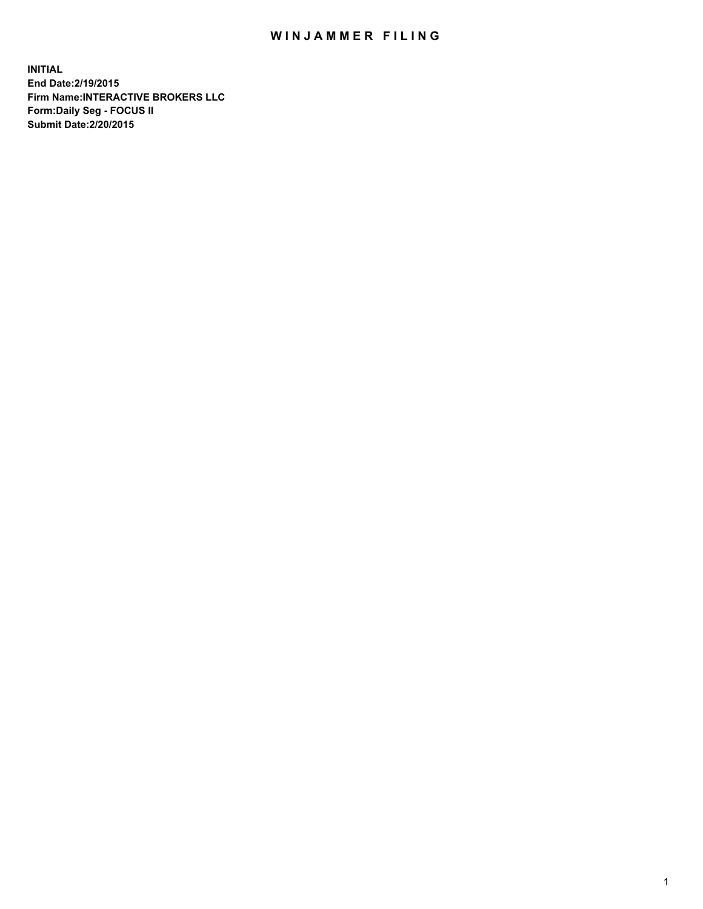## WIN JAMMER FILING

**INITIAL End Date:2/19/2015 Firm Name:INTERACTIVE BROKERS LLC Form:Daily Seg - FOCUS II Submit Date:2/20/2015**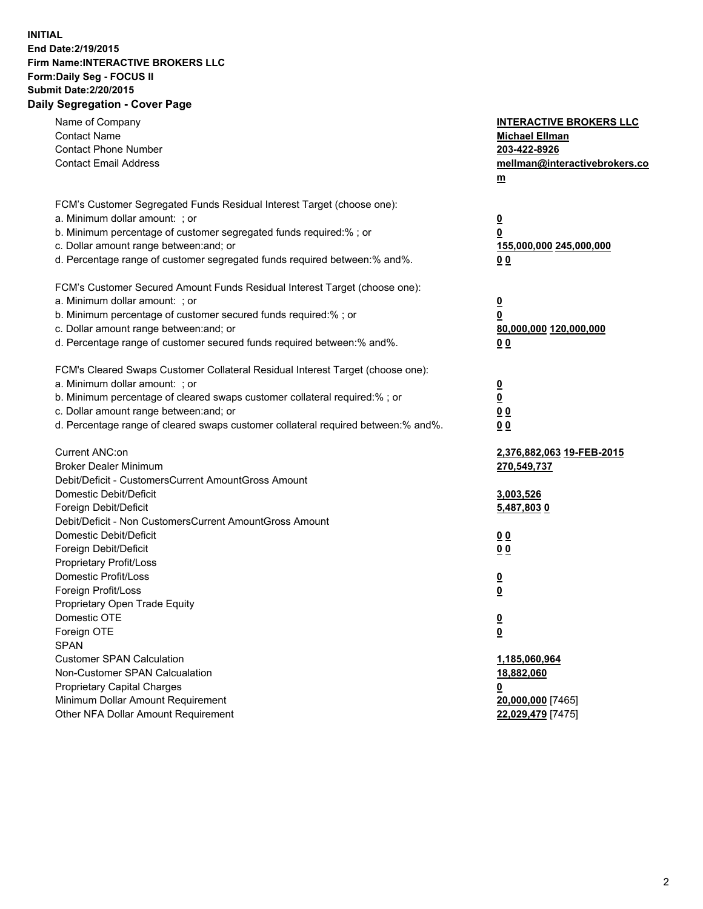## **INITIAL End Date:2/19/2015 Firm Name:INTERACTIVE BROKERS LLC Form:Daily Seg - FOCUS II Submit Date:2/20/2015 Daily Segregation - Cover Page**

| Name of Company                                                                   | <b>INTERACTIVE BROKERS LLC</b> |
|-----------------------------------------------------------------------------------|--------------------------------|
| <b>Contact Name</b>                                                               | <b>Michael Ellman</b>          |
| <b>Contact Phone Number</b>                                                       | 203-422-8926                   |
| <b>Contact Email Address</b>                                                      | mellman@interactivebrokers.co  |
|                                                                                   | $\underline{\mathbf{m}}$       |
| FCM's Customer Segregated Funds Residual Interest Target (choose one):            |                                |
| a. Minimum dollar amount: ; or                                                    | $\overline{\mathbf{0}}$        |
| b. Minimum percentage of customer segregated funds required:% ; or                | 0                              |
| c. Dollar amount range between: and; or                                           | 155,000,000 245,000,000        |
| d. Percentage range of customer segregated funds required between:% and%.         | 00                             |
| FCM's Customer Secured Amount Funds Residual Interest Target (choose one):        |                                |
| a. Minimum dollar amount: ; or                                                    | $\overline{\mathbf{0}}$        |
| b. Minimum percentage of customer secured funds required:% ; or                   | 0                              |
| c. Dollar amount range between: and; or                                           | 80,000,000 120,000,000         |
| d. Percentage range of customer secured funds required between:% and%.            | 00                             |
|                                                                                   |                                |
| FCM's Cleared Swaps Customer Collateral Residual Interest Target (choose one):    |                                |
| a. Minimum dollar amount: ; or                                                    | $\overline{\mathbf{0}}$        |
| b. Minimum percentage of cleared swaps customer collateral required:% ; or        | $\overline{\mathbf{0}}$        |
| c. Dollar amount range between: and; or                                           | 0 <sub>0</sub>                 |
| d. Percentage range of cleared swaps customer collateral required between:% and%. | 0 <sub>0</sub>                 |
| Current ANC:on                                                                    | 2,376,882,063 19-FEB-2015      |
| <b>Broker Dealer Minimum</b>                                                      | 270,549,737                    |
| Debit/Deficit - CustomersCurrent AmountGross Amount                               |                                |
| Domestic Debit/Deficit                                                            | 3,003,526                      |
| Foreign Debit/Deficit                                                             | 5,487,8030                     |
| Debit/Deficit - Non CustomersCurrent AmountGross Amount                           |                                |
| Domestic Debit/Deficit                                                            | 0 <sub>0</sub>                 |
| Foreign Debit/Deficit                                                             | 0 <sub>0</sub>                 |
| Proprietary Profit/Loss                                                           |                                |
| Domestic Profit/Loss                                                              | $\overline{\mathbf{0}}$        |
| Foreign Profit/Loss                                                               | $\underline{\mathbf{0}}$       |
| Proprietary Open Trade Equity                                                     |                                |
| Domestic OTE                                                                      | <u>0</u>                       |
| Foreign OTE                                                                       | <u>0</u>                       |
| <b>SPAN</b>                                                                       |                                |
| <b>Customer SPAN Calculation</b>                                                  | 1,185,060,964                  |
| Non-Customer SPAN Calcualation                                                    | 18,882,060                     |
| Proprietary Capital Charges                                                       | <u>0</u>                       |
| Minimum Dollar Amount Requirement                                                 | 20,000,000 [7465]              |
| Other NFA Dollar Amount Requirement                                               | 22,029,479 [7475]              |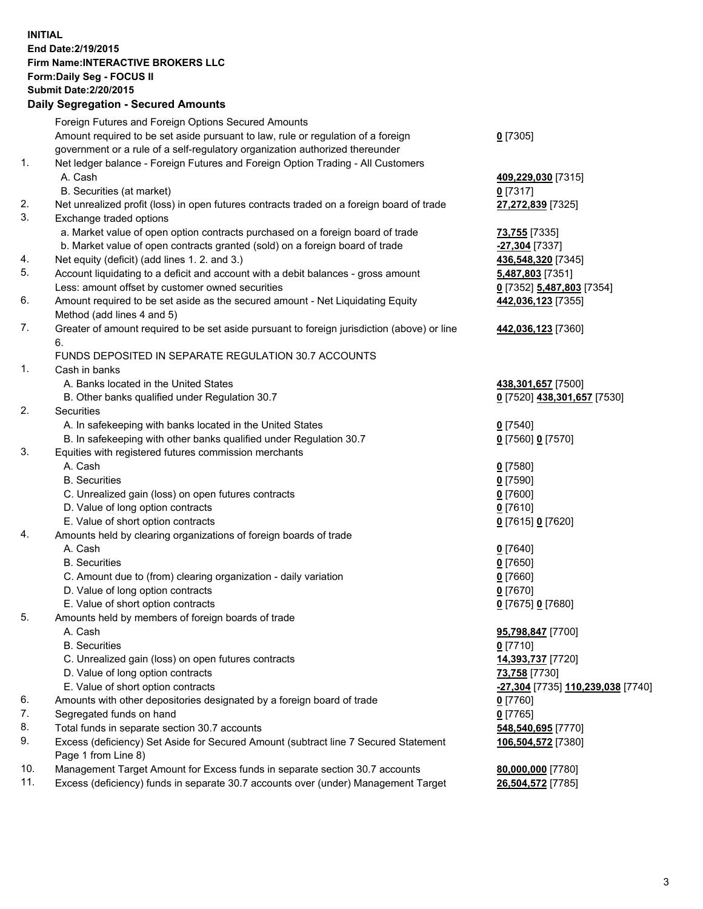## **INITIAL End Date:2/19/2015 Firm Name:INTERACTIVE BROKERS LLC Form:Daily Seg - FOCUS II Submit Date:2/20/2015 Daily Segregation - Secured Amounts**

|     | Dany Ocgregation - Oceanea Annoanta                                                         |                                                |
|-----|---------------------------------------------------------------------------------------------|------------------------------------------------|
|     | Foreign Futures and Foreign Options Secured Amounts                                         |                                                |
|     | Amount required to be set aside pursuant to law, rule or regulation of a foreign            | $0$ [7305]                                     |
|     | government or a rule of a self-regulatory organization authorized thereunder                |                                                |
| 1.  | Net ledger balance - Foreign Futures and Foreign Option Trading - All Customers             |                                                |
|     | A. Cash                                                                                     | 409,229,030 [7315]                             |
|     | B. Securities (at market)                                                                   | $0$ [7317]                                     |
| 2.  | Net unrealized profit (loss) in open futures contracts traded on a foreign board of trade   | 27,272,839 [7325]                              |
| 3.  | Exchange traded options                                                                     |                                                |
|     | a. Market value of open option contracts purchased on a foreign board of trade              | <b>73,755</b> [7335]                           |
|     | b. Market value of open contracts granted (sold) on a foreign board of trade                | -27,304 [7337]                                 |
| 4.  | Net equity (deficit) (add lines 1.2. and 3.)                                                | 436,548,320 [7345]                             |
| 5.  | Account liquidating to a deficit and account with a debit balances - gross amount           | 5,487,803 [7351]                               |
|     | Less: amount offset by customer owned securities                                            | 0 [7352] 5,487,803 [7354]                      |
| 6.  | Amount required to be set aside as the secured amount - Net Liquidating Equity              | 442,036,123 [7355]                             |
|     | Method (add lines 4 and 5)                                                                  |                                                |
| 7.  | Greater of amount required to be set aside pursuant to foreign jurisdiction (above) or line | 442,036,123 [7360]                             |
|     | 6.                                                                                          |                                                |
|     | FUNDS DEPOSITED IN SEPARATE REGULATION 30.7 ACCOUNTS                                        |                                                |
| 1.  | Cash in banks                                                                               |                                                |
|     | A. Banks located in the United States                                                       | 438,301,657 [7500]                             |
|     | B. Other banks qualified under Regulation 30.7                                              | 0 [7520] 438,301,657 [7530]                    |
| 2.  | Securities                                                                                  |                                                |
|     | A. In safekeeping with banks located in the United States                                   | $0$ [7540]                                     |
|     | B. In safekeeping with other banks qualified under Regulation 30.7                          | 0 [7560] 0 [7570]                              |
| 3.  | Equities with registered futures commission merchants                                       |                                                |
|     | A. Cash                                                                                     | $0$ [7580]                                     |
|     | <b>B.</b> Securities                                                                        | $0$ [7590]                                     |
|     | C. Unrealized gain (loss) on open futures contracts                                         | $0$ [7600]                                     |
|     | D. Value of long option contracts                                                           | $0$ [7610]                                     |
|     | E. Value of short option contracts                                                          | 0 [7615] 0 [7620]                              |
| 4.  | Amounts held by clearing organizations of foreign boards of trade                           |                                                |
|     | A. Cash                                                                                     | $0$ [7640]                                     |
|     | <b>B.</b> Securities                                                                        | $0$ [7650]                                     |
|     | C. Amount due to (from) clearing organization - daily variation                             | $0$ [7660]                                     |
|     | D. Value of long option contracts                                                           | $0$ [7670]                                     |
|     | E. Value of short option contracts                                                          | 0 [7675] 0 [7680]                              |
| 5.  | Amounts held by members of foreign boards of trade                                          |                                                |
|     | A. Cash                                                                                     | 95,798,847 [7700]                              |
|     | <b>B.</b> Securities                                                                        | $0$ [7710]                                     |
|     | C. Unrealized gain (loss) on open futures contracts                                         | 14,393,737 [7720]                              |
|     | D. Value of long option contracts                                                           | 73,758 [7730]                                  |
|     | E. Value of short option contracts                                                          | <mark>-27,304</mark> [7735] 110,239,038 [7740] |
| 6.  | Amounts with other depositories designated by a foreign board of trade                      | $0$ [7760]                                     |
| 7.  | Segregated funds on hand                                                                    | $0$ [7765]                                     |
| 8.  | Total funds in separate section 30.7 accounts                                               | 548,540,695 [7770]                             |
| 9.  | Excess (deficiency) Set Aside for Secured Amount (subtract line 7 Secured Statement         | 106,504,572 [7380]                             |
|     | Page 1 from Line 8)                                                                         |                                                |
| 10. | Management Target Amount for Excess funds in separate section 30.7 accounts                 | 80,000,000 [7780]                              |
| 11. | Excess (deficiency) funds in separate 30.7 accounts over (under) Management Target          | 26,504,572 [7785]                              |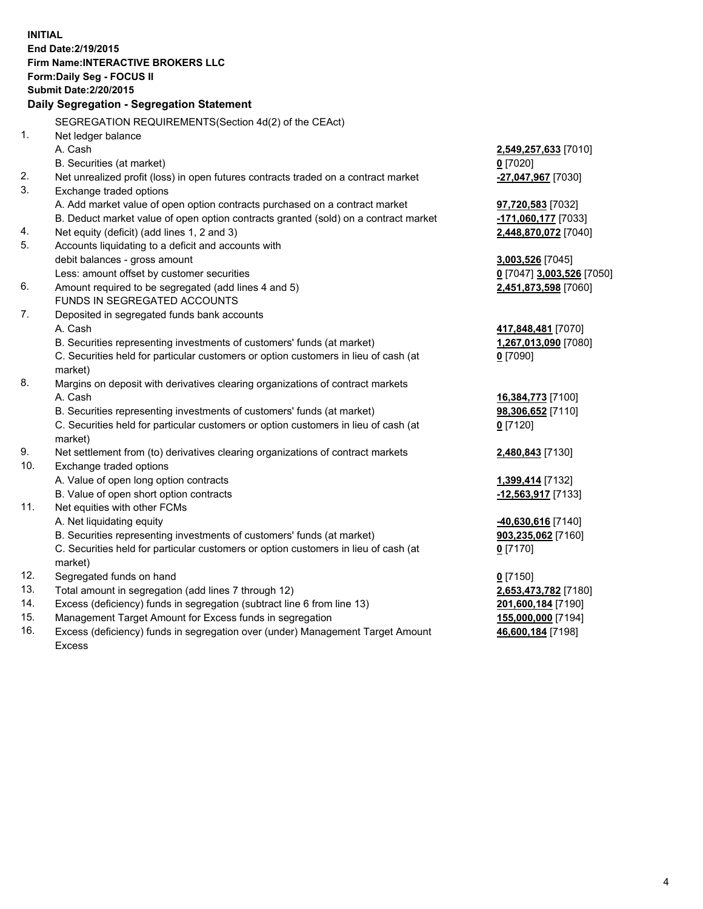**INITIAL End Date:2/19/2015 Firm Name:INTERACTIVE BROKERS LLC Form:Daily Seg - FOCUS II Submit Date:2/20/2015 Daily Segregation - Segregation Statement** SEGREGATION REQUIREMENTS(Section 4d(2) of the CEAct) 1. Net ledger balance A. Cash **2,549,257,633** [7010] B. Securities (at market) **0** [7020] 2. Net unrealized profit (loss) in open futures contracts traded on a contract market **-27,047,967** [7030] 3. Exchange traded options A. Add market value of open option contracts purchased on a contract market **97,720,583** [7032] B. Deduct market value of open option contracts granted (sold) on a contract market **-171,060,177** [7033] 4. Net equity (deficit) (add lines 1, 2 and 3) **2,448,870,072** [7040] 5. Accounts liquidating to a deficit and accounts with debit balances - gross amount **3,003,526** [7045] Less: amount offset by customer securities **0** [7047] **3,003,526** [7050] 6. Amount required to be segregated (add lines 4 and 5) **2,451,873,598** [7060] FUNDS IN SEGREGATED ACCOUNTS 7. Deposited in segregated funds bank accounts A. Cash **417,848,481** [7070] B. Securities representing investments of customers' funds (at market) **1,267,013,090** [7080] C. Securities held for particular customers or option customers in lieu of cash (at market) **0** [7090] 8. Margins on deposit with derivatives clearing organizations of contract markets A. Cash **16,384,773** [7100] B. Securities representing investments of customers' funds (at market) **98,306,652** [7110] C. Securities held for particular customers or option customers in lieu of cash (at market) **0** [7120] 9. Net settlement from (to) derivatives clearing organizations of contract markets **2,480,843** [7130] 10. Exchange traded options A. Value of open long option contracts **1,399,414** [7132] B. Value of open short option contracts **-12,563,917** [7133] 11. Net equities with other FCMs A. Net liquidating equity **-40,630,616** [7140] B. Securities representing investments of customers' funds (at market) **903,235,062** [7160] C. Securities held for particular customers or option customers in lieu of cash (at market) **0** [7170] 12. Segregated funds on hand **0** [7150] 13. Total amount in segregation (add lines 7 through 12) **2,653,473,782** [7180] 14. Excess (deficiency) funds in segregation (subtract line 6 from line 13) **201,600,184** [7190] 15. Management Target Amount for Excess funds in segregation **155,000,000** [7194]

16. Excess (deficiency) funds in segregation over (under) Management Target Amount Excess

**46,600,184** [7198]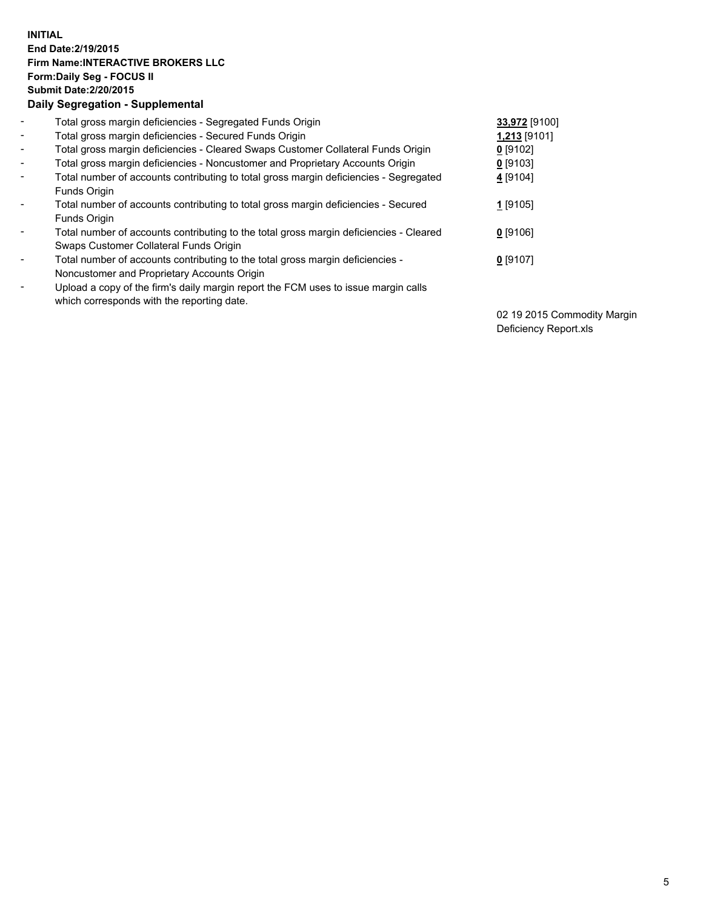## **INITIAL End Date:2/19/2015 Firm Name:INTERACTIVE BROKERS LLC Form:Daily Seg - FOCUS II Submit Date:2/20/2015 Daily Segregation - Supplemental**

| $\blacksquare$           | Total gross margin deficiencies - Segregated Funds Origin                              | 33,972 [9100] |
|--------------------------|----------------------------------------------------------------------------------------|---------------|
| $\sim$                   | Total gross margin deficiencies - Secured Funds Origin                                 | 1,213 [9101]  |
| $\blacksquare$           | Total gross margin deficiencies - Cleared Swaps Customer Collateral Funds Origin       | $0$ [9102]    |
| $\blacksquare$           | Total gross margin deficiencies - Noncustomer and Proprietary Accounts Origin          | $0$ [9103]    |
| $\blacksquare$           | Total number of accounts contributing to total gross margin deficiencies - Segregated  | 4 [9104]      |
|                          | <b>Funds Origin</b>                                                                    |               |
| $\blacksquare$           | Total number of accounts contributing to total gross margin deficiencies - Secured     | $1$ [9105]    |
|                          | Funds Origin                                                                           |               |
| $\blacksquare$           | Total number of accounts contributing to the total gross margin deficiencies - Cleared | $0$ [9106]    |
|                          | Swaps Customer Collateral Funds Origin                                                 |               |
| $\blacksquare$           | Total number of accounts contributing to the total gross margin deficiencies -         | $0$ [9107]    |
|                          | Noncustomer and Proprietary Accounts Origin                                            |               |
| $\overline{\phantom{0}}$ | Upload a copy of the firm's daily margin report the FCM uses to issue margin calls     |               |
|                          | which corresponds with the reporting date.                                             |               |

02 19 2015 Commodity Margin Deficiency Report.xls